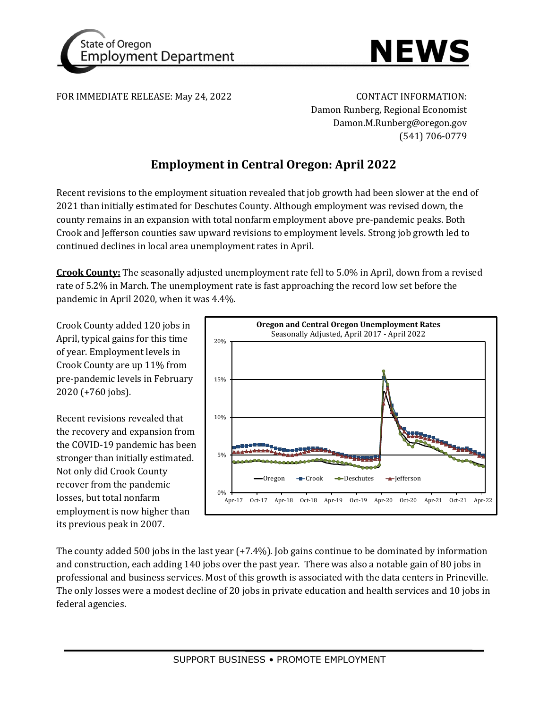



FOR IMMEDIATE RELEASE: May 24, 2022 CONTACT INFORMATION:

Damon Runberg, Regional Economist Damon.M.Runberg@oregon.gov (541) 706-0779

# **Employment in Central Oregon: April 2022**

Recent revisions to the employment situation revealed that job growth had been slower at the end of 2021 than initially estimated for Deschutes County. Although employment was revised down, the county remains in an expansion with total nonfarm employment above pre-pandemic peaks. Both Crook and Jefferson counties saw upward revisions to employment levels. Strong job growth led to continued declines in local area unemployment rates in April.

**Crook County:** The seasonally adjusted unemployment rate fell to 5.0% in April, down from a revised rate of 5.2% in March. The unemployment rate is fast approaching the record low set before the pandemic in April 2020, when it was 4.4%.

Crook County added 120 jobs in April, typical gains for this time of year. Employment levels in Crook County are up 11% from pre-pandemic levels in February 2020 (+760 jobs).

Recent revisions revealed that the recovery and expansion from the COVID-19 pandemic has been stronger than initially estimated. Not only did Crook County recover from the pandemic losses, but total nonfarm employment is now higher than its previous peak in 2007.



The county added 500 jobs in the last year (+7.4%). Job gains continue to be dominated by information and construction, each adding 140 jobs over the past year. There was also a notable gain of 80 jobs in professional and business services. Most of this growth is associated with the data centers in Prineville. The only losses were a modest decline of 20 jobs in private education and health services and 10 jobs in federal agencies.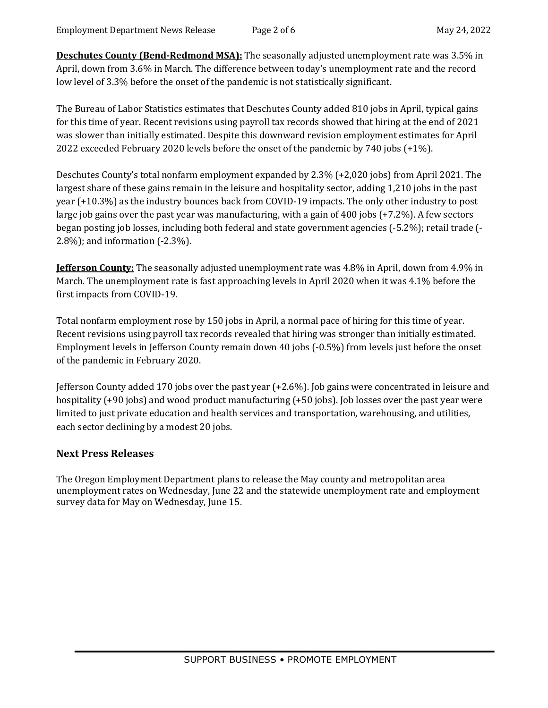**Deschutes County (Bend-Redmond MSA):** The seasonally adjusted unemployment rate was 3.5% in April, down from 3.6% in March. The difference between today's unemployment rate and the record low level of 3.3% before the onset of the pandemic is not statistically significant.

The Bureau of Labor Statistics estimates that Deschutes County added 810 jobs in April, typical gains for this time of year. Recent revisions using payroll tax records showed that hiring at the end of 2021 was slower than initially estimated. Despite this downward revision employment estimates for April 2022 exceeded February 2020 levels before the onset of the pandemic by 740 jobs (+1%).

Deschutes County's total nonfarm employment expanded by 2.3% (+2,020 jobs) from April 2021. The largest share of these gains remain in the leisure and hospitality sector, adding 1,210 jobs in the past year (+10.3%) as the industry bounces back from COVID-19 impacts. The only other industry to post large job gains over the past year was manufacturing, with a gain of 400 jobs (+7.2%). A few sectors began posting job losses, including both federal and state government agencies (-5.2%); retail trade (- 2.8%); and information (-2.3%).

**Jefferson County:** The seasonally adjusted unemployment rate was 4.8% in April, down from 4.9% in March. The unemployment rate is fast approaching levels in April 2020 when it was 4.1% before the first impacts from COVID-19.

Total nonfarm employment rose by 150 jobs in April, a normal pace of hiring for this time of year. Recent revisions using payroll tax records revealed that hiring was stronger than initially estimated. Employment levels in Jefferson County remain down 40 jobs (-0.5%) from levels just before the onset of the pandemic in February 2020.

Jefferson County added 170 jobs over the past year (+2.6%). Job gains were concentrated in leisure and hospitality (+90 jobs) and wood product manufacturing (+50 jobs). Job losses over the past year were limited to just private education and health services and transportation, warehousing, and utilities, each sector declining by a modest 20 jobs.

## **Next Press Releases**

The Oregon Employment Department plans to release the May county and metropolitan area unemployment rates on Wednesday, June 22 and the statewide unemployment rate and employment survey data for May on Wednesday, June 15.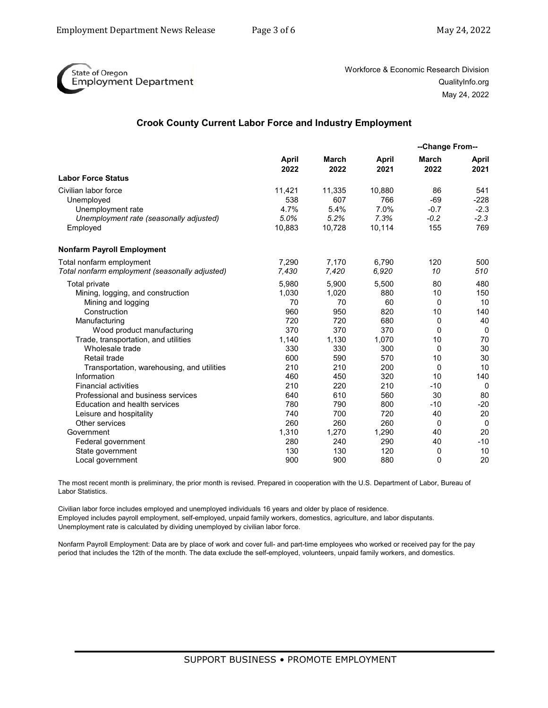

Workforce & Economic Research Division QualityInfo.org May 24, 2022

#### **Crook County Current Labor Force and Industry Employment**

|                                                | <b>April</b><br>2022 | March<br>2022 | April<br>2021 | --Change From--      |               |
|------------------------------------------------|----------------------|---------------|---------------|----------------------|---------------|
|                                                |                      |               |               | <b>March</b><br>2022 | April<br>2021 |
| <b>Labor Force Status</b>                      |                      |               |               |                      |               |
| Civilian labor force                           | 11,421               | 11,335        | 10,880        | 86                   | 541           |
| Unemployed                                     | 538                  | 607           | 766           | $-69$                | $-228$        |
| Unemployment rate                              | 4.7%                 | 5.4%          | 7.0%          | $-0.7$               | $-2.3$        |
| Unemployment rate (seasonally adjusted)        | 5.0%                 | 5.2%          | 7.3%          | $-0.2$               | $-2.3$        |
| Employed                                       | 10,883               | 10,728        | 10,114        | 155                  | 769           |
| <b>Nonfarm Payroll Employment</b>              |                      |               |               |                      |               |
| Total nonfarm employment                       | 7.290                | 7.170         | 6.790         | 120                  | 500           |
| Total nonfarm employment (seasonally adjusted) | 7,430                | 7,420         | 6,920         | 10                   | 510           |
| <b>Total private</b>                           | 5,980                | 5,900         | 5,500         | 80                   | 480           |
| Mining, logging, and construction              | 1,030                | 1,020         | 880           | 10                   | 150           |
| Mining and logging                             | 70                   | 70            | 60            | $\Omega$             | 10            |
| Construction                                   | 960                  | 950           | 820           | 10                   | 140           |
| Manufacturing                                  | 720                  | 720           | 680           | $\Omega$             | 40            |
| Wood product manufacturing                     | 370                  | 370           | 370           | $\Omega$             | $\mathbf 0$   |
| Trade, transportation, and utilities           | 1,140                | 1,130         | 1,070         | 10                   | 70            |
| Wholesale trade                                | 330                  | 330           | 300           | $\Omega$             | 30            |
| Retail trade                                   | 600                  | 590           | 570           | 10                   | 30            |
| Transportation, warehousing, and utilities     | 210                  | 210           | 200           | 0                    | 10            |
| Information                                    | 460                  | 450           | 320           | 10                   | 140           |
| <b>Financial activities</b>                    | 210                  | 220           | 210           | $-10$                | $\Omega$      |
| Professional and business services             | 640                  | 610           | 560           | 30                   | 80            |
| Education and health services                  | 780                  | 790           | 800           | $-10$                | $-20$         |
| Leisure and hospitality                        | 740                  | 700           | 720           | 40                   | 20            |
| Other services                                 | 260                  | 260           | 260           | 0                    | 0             |
| Government                                     | 1,310                | 1,270         | 1,290         | 40                   | 20            |
| Federal government                             | 280                  | 240           | 290           | 40                   | $-10$         |
| State government                               | 130                  | 130           | 120           | 0                    | 10            |
| Local government                               | 900                  | 900           | 880           | $\Omega$             | 20            |

The most recent month is preliminary, the prior month is revised. Prepared in cooperation with the U.S. Department of Labor, Bureau of Labor Statistics.

Civilian labor force includes employed and unemployed individuals 16 years and older by place of residence. Employed includes payroll employment, self-employed, unpaid family workers, domestics, agriculture, and labor disputants. Unemployment rate is calculated by dividing unemployed by civilian labor force.

Nonfarm Payroll Employment: Data are by place of work and cover full- and part-time employees who worked or received pay for the pay period that includes the 12th of the month. The data exclude the self-employed, volunteers, unpaid family workers, and domestics.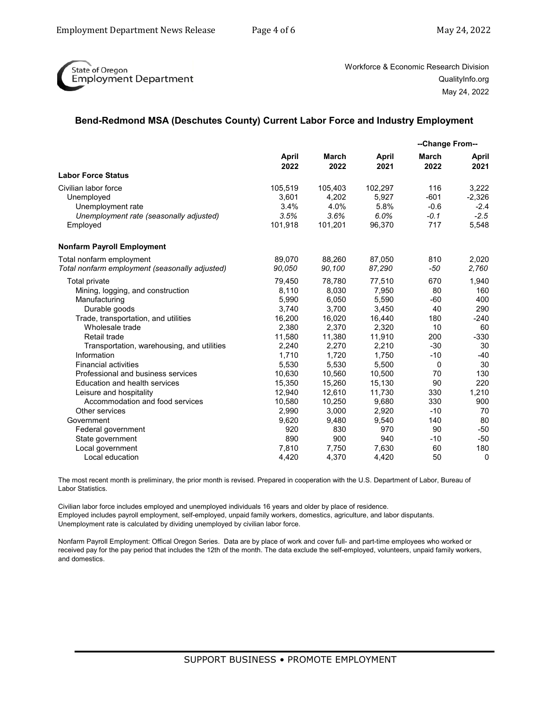

Workforce & Economic Research Division QualityInfo.org May 24, 2022

### **Bend-Redmond MSA (Deschutes County) Current Labor Force and Industry Employment**

|                                                | <b>April</b><br>2022 | March<br>2022 | April<br>2021 | --Change From-- |               |
|------------------------------------------------|----------------------|---------------|---------------|-----------------|---------------|
|                                                |                      |               |               | March<br>2022   | April<br>2021 |
| <b>Labor Force Status</b>                      |                      |               |               |                 |               |
| Civilian labor force                           | 105,519              | 105,403       | 102,297       | 116             | 3,222         |
| Unemployed                                     | 3,601                | 4,202         | 5,927         | $-601$          | $-2,326$      |
| Unemployment rate                              | 3.4%                 | 4.0%          | 5.8%          | $-0.6$          | $-2.4$        |
| Unemployment rate (seasonally adjusted)        | 3.5%                 | 3.6%          | 6.0%          | $-0.1$          | $-2.5$        |
| Employed                                       | 101,918              | 101,201       | 96,370        | 717             | 5,548         |
| <b>Nonfarm Payroll Employment</b>              |                      |               |               |                 |               |
| Total nonfarm employment                       | 89,070               | 88,260        | 87,050        | 810             | 2,020         |
| Total nonfarm employment (seasonally adjusted) | 90,050               | 90,100        | 87,290        | $-50$           | 2,760         |
| <b>Total private</b>                           | 79,450               | 78,780        | 77,510        | 670             | 1,940         |
| Mining, logging, and construction              | 8,110                | 8,030         | 7,950         | 80              | 160           |
| Manufacturing                                  | 5,990                | 6,050         | 5,590         | $-60$           | 400           |
| Durable goods                                  | 3,740                | 3,700         | 3,450         | 40              | 290           |
| Trade, transportation, and utilities           | 16,200               | 16,020        | 16,440        | 180             | $-240$        |
| Wholesale trade                                | 2,380                | 2,370         | 2,320         | 10              | 60            |
| Retail trade                                   | 11,580               | 11,380        | 11,910        | 200             | $-330$        |
| Transportation, warehousing, and utilities     | 2,240                | 2,270         | 2,210         | $-30$           | 30            |
| Information                                    | 1,710                | 1,720         | 1,750         | $-10$           | $-40$         |
| <b>Financial activities</b>                    | 5,530                | 5,530         | 5,500         | $\mathbf 0$     | 30            |
| Professional and business services             | 10,630               | 10,560        | 10.500        | 70              | 130           |
| Education and health services                  | 15,350               | 15,260        | 15,130        | 90              | 220           |
| Leisure and hospitality                        | 12,940               | 12,610        | 11,730        | 330             | 1,210         |
| Accommodation and food services                | 10,580               | 10,250        | 9,680         | 330             | 900           |
| Other services                                 | 2,990                | 3,000         | 2,920         | $-10$           | 70            |
| Government                                     | 9,620                | 9,480         | 9,540         | 140             | 80            |
| Federal government                             | 920                  | 830           | 970           | 90              | $-50$         |
| State government                               | 890                  | 900           | 940           | $-10$           | $-50$         |
| Local government                               | 7,810                | 7,750         | 7,630         | 60              | 180           |
| Local education                                | 4,420                | 4,370         | 4,420         | 50              | 0             |

The most recent month is preliminary, the prior month is revised. Prepared in cooperation with the U.S. Department of Labor, Bureau of Labor Statistics.

Civilian labor force includes employed and unemployed individuals 16 years and older by place of residence. Employed includes payroll employment, self-employed, unpaid family workers, domestics, agriculture, and labor disputants. Unemployment rate is calculated by dividing unemployed by civilian labor force.

Nonfarm Payroll Employment: Offical Oregon Series. Data are by place of work and cover full- and part-time employees who worked or received pay for the pay period that includes the 12th of the month. The data exclude the self-employed, volunteers, unpaid family workers, and domestics.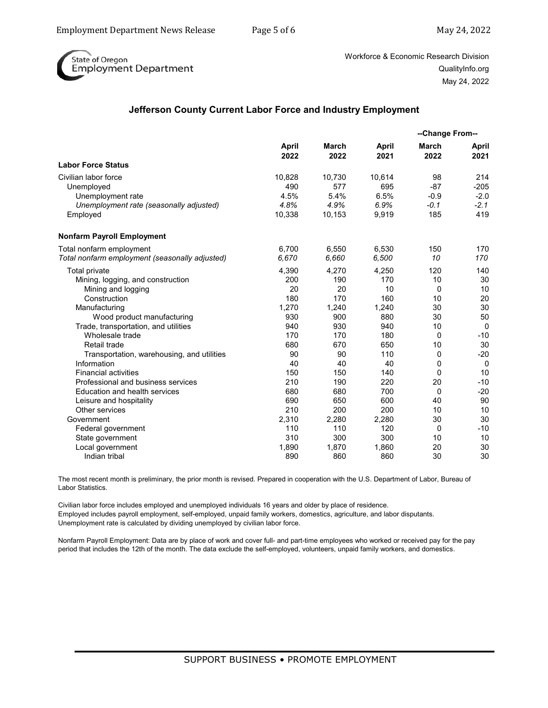

Workforce & Economic Research Division QualityInfo.org May 24, 2022

### **Jefferson County Current Labor Force and Industry Employment**

|                                                |               | March<br>2022 | <b>April</b><br>2021 | --Change From--      |                      |
|------------------------------------------------|---------------|---------------|----------------------|----------------------|----------------------|
|                                                | April<br>2022 |               |                      | <b>March</b><br>2022 | <b>April</b><br>2021 |
| <b>Labor Force Status</b>                      |               |               |                      |                      |                      |
| Civilian labor force                           | 10,828        | 10,730        | 10,614               | 98                   | 214                  |
| Unemployed                                     | 490           | 577           | 695                  | $-87$                | $-205$               |
| Unemployment rate                              | 4.5%          | 5.4%          | 6.5%                 | $-0.9$               | $-2.0$               |
| Unemployment rate (seasonally adjusted)        | 4.8%          | 4.9%          | 6.9%                 | $-0.1$               | $-2.1$               |
| Employed                                       | 10,338        | 10,153        | 9,919                | 185                  | 419                  |
| <b>Nonfarm Payroll Employment</b>              |               |               |                      |                      |                      |
| Total nonfarm employment                       | 6,700         | 6,550         | 6,530                | 150                  | 170                  |
| Total nonfarm employment (seasonally adjusted) | 6.670         | 6,660         | 6,500                | 10                   | 170                  |
| Total private                                  | 4,390         | 4,270         | 4,250                | 120                  | 140                  |
| Mining, logging, and construction              | 200           | 190           | 170                  | 10                   | 30                   |
| Mining and logging                             | 20            | 20            | 10                   | 0                    | 10                   |
| Construction                                   | 180           | 170           | 160                  | 10                   | 20                   |
| Manufacturing                                  | 1,270         | 1,240         | 1,240                | 30                   | 30                   |
| Wood product manufacturing                     | 930           | 900           | 880                  | 30                   | 50                   |
| Trade, transportation, and utilities           | 940           | 930           | 940                  | 10                   | $\mathbf 0$          |
| Wholesale trade                                | 170           | 170           | 180                  | $\Omega$             | $-10$                |
| Retail trade                                   | 680           | 670           | 650                  | 10                   | 30                   |
| Transportation, warehousing, and utilities     | 90            | 90            | 110                  | 0                    | $-20$                |
| Information                                    | 40            | 40            | 40                   | 0                    | 0                    |
| <b>Financial activities</b>                    | 150           | 150           | 140                  | 0                    | 10                   |
| Professional and business services             | 210           | 190           | 220                  | 20                   | $-10$                |
| <b>Education and health services</b>           | 680           | 680           | 700                  | $\Omega$             | $-20$                |
| Leisure and hospitality                        | 690           | 650           | 600                  | 40                   | 90                   |
| Other services                                 | 210           | 200           | 200                  | 10                   | 10                   |
| Government                                     | 2,310         | 2,280         | 2,280                | 30                   | 30                   |
| Federal government                             | 110           | 110           | 120                  | 0                    | $-10$                |
| State government                               | 310           | 300           | 300                  | 10                   | 10                   |
| Local government                               | 1,890         | 1,870         | 1,860                | 20                   | 30                   |
| Indian tribal                                  | 890           | 860           | 860                  | 30                   | 30                   |

The most recent month is preliminary, the prior month is revised. Prepared in cooperation with the U.S. Department of Labor, Bureau of Labor Statistics.

Civilian labor force includes employed and unemployed individuals 16 years and older by place of residence. Employed includes payroll employment, self-employed, unpaid family workers, domestics, agriculture, and labor disputants. Unemployment rate is calculated by dividing unemployed by civilian labor force.

Nonfarm Payroll Employment: Data are by place of work and cover full- and part-time employees who worked or received pay for the pay period that includes the 12th of the month. The data exclude the self-employed, volunteers, unpaid family workers, and domestics.